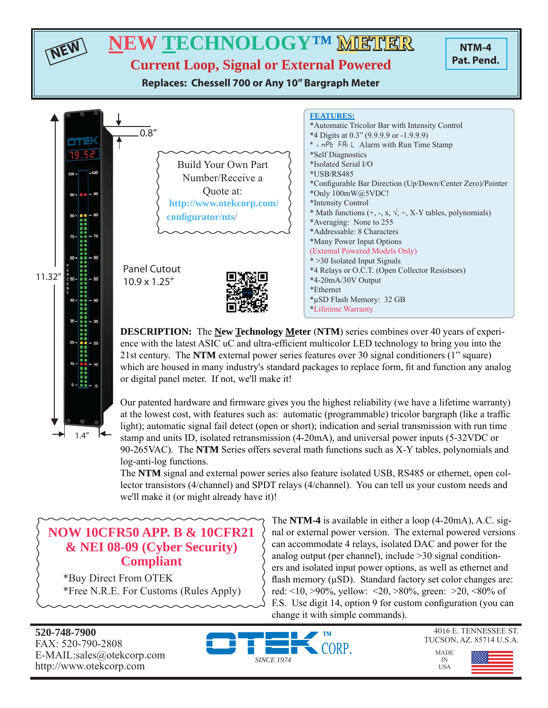

Our patented hardware and firmware gives you the highest reliability (we have a lifetime warranty) at the lowest cost, with features such as: automatic (programmable) tricolor bargraph (like a traffic light); automatic signal fail detect (open or short); indication and serial transmission with run time stamp and units ID, isolated retransmission (4-20mA), and universal power inputs (5-32VDC or 90-265VAC). The **NTM** Series offers several math functions such as X-Y tables, polynomials and log-anti-log functions.

The **NTM** signal and external power series also feature isolated USB, RS485 or ethernet, open collector transistors (4/channel) and SPDT relays (4/channel). You can tell us your custom needs and we'll make it (or might already have it)!

## **NOW 10CFR50 APP. B & 10CFR21 & NEI 08-09 (Cyber Security) Compliant**

\*Buy Direct From OTEK \*Free N.R.E. For Customs (Rules Apply) The **NTM-4** is available in either a loop (4-20mA), A.C. signal or external power version. The external powered versions can accommodate 4 relays, isolated DAC and power for the analog output (per channel), include >30 signal conditioners and isolated input power options, as well as ethernet and flash memory  $(\mu SD)$ . Standard factory set color changes are: red: <10, >90%, yellow: <20, >80%, green: >20, <80% of F.S. Use digit 14, option 9 for custom configuration (you can change it with simple commands).

**520-748-7900** FAX: 520-790-2808 E-MAIL:sales@otekcorp.com http://www.otekcorp.com

▼

 $1.4''$ 



4016 E. TENNESSEE ST. TUCSON, AZ. 85714 U.S.A.

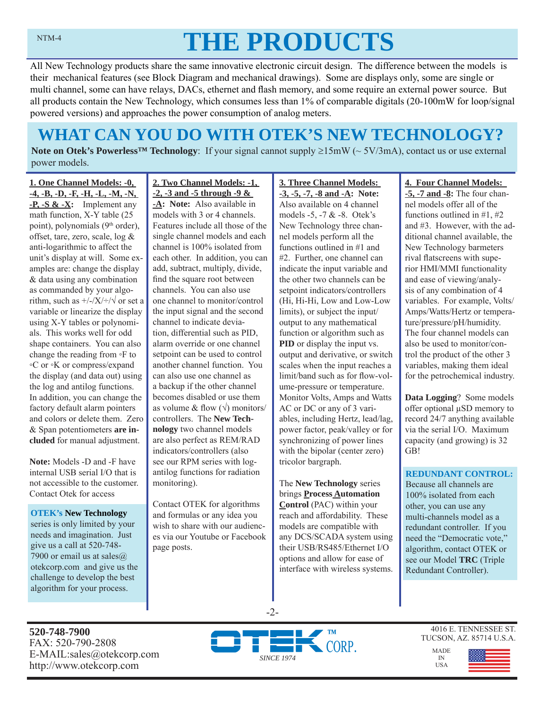# **THE PRODUCTS**

All New Technology products share the same innovative electronic circuit design. The difference between the models is their mechanical features (see Block Diagram and mechanical drawings). Some are displays only, some are single or multi channel, some can have relays, DACs, ethernet and flash memory, and some require an external power source. But all products contain the New Technology, which consumes less than 1% of comparable digitals (20-100mW for loop/signal powered versions) and approaches the power consumption of analog meters.

# **WHAT CAN YOU DO WITH OTEK'S NEW TECHNOLOGY?**

**Note on Otek's Powerless<sup>TM</sup> Technology**: If your signal cannot supply  $\geq 15 \text{mW}$  ( $\sim 5V/3 \text{mA}$ ), contact us or use external power models.

**1. One Channel Models: -0, -4, -B, -D, -F, -H, -L, -M, -N, -P, -S & -X:** Implement any math function, X-Y table (25 point), polynomials (9<sup>th</sup> order), offset, tare, zero, scale, log & anti-logarithmic to affect the unit's display at will. Some examples are: change the display & data using any combination as commanded by your algorithm, such as  $\frac{+}{-}\times\frac{+}{\sqrt{}}$  or set a variable or linearize the display using X-Y tables or polynomials. This works well for odd shape containers. You can also change the reading from ◦F to ◦C or ◦K or compress/expand the display (and data out) using the log and antilog functions. In addition, you can change the factory default alarm pointers and colors or delete them. Zero & Span potentiometers **are included** for manual adjustment.

**Note:** Models -D and -F have internal USB serial I/O that is not accessible to the customer. Contact Otek for access

**OTEK's New Technology**  series is only limited by your needs and imagination. Just give us a call at 520-748- 7900 or email us at sales $@$ . otekcorp.com and give us the challenge to develop the best algorithm for your process.

**-2, -3 and -5 through -9 & -A: Note:** Also available in models with 3 or 4 channels. Features include all those of the single channel models and each channel is 100% isolated from each other. In addition, you can add, subtract, multiply, divide, find the square root between channels. You can also use one channel to monitor/control the input signal and the second channel to indicate deviation, differential such as PID, alarm override or one channel setpoint can be used to control another channel function. You can also use one channel as a backup if the other channel becomes disabled or use them as volume & flow  $(\sqrt{})$  monitors/ controllers. The **New Technology** two channel models are also perfect as REM/RAD indicators/controllers (also

**2. Two Channel Models: -1,** 

see our RPM series with logantilog functions for radiation monitoring).

Contact OTEK for algorithms and formulas or any idea you wish to share with our audiences via our Youtube or Facebook page posts.

**3. Three Channel Models: -3, -5, -7, -8 and -A: Note:**  Also available on 4 channel models -5, -7 & -8. Otek's New Technology three channel models perform all the functions outlined in #1 and #2. Further, one channel can indicate the input variable and the other two channels can be setpoint indicators/controllers (Hi, Hi-Hi, Low and Low-Low limits), or subject the input/ output to any mathematical function or algorithm such as **PID** or display the input vs. output and derivative, or switch scales when the input reaches a limit/band such as for flow-volume-pressure or temperature. Monitor Volts, Amps and Watts AC or DC or any of 3 variables, including Hertz, lead/lag, power factor, peak/valley or for synchronizing of power lines with the bipolar (center zero) tricolor bargraph.

The **New Technology** series brings **Process Automation Control** (PAC) within your reach and affordability. These models are compatible with any DCS/SCADA system using their USB/RS485/Ethernet I/O options and allow for ease of interface with wireless systems.

### **4. Four Channel Models:**

**-5, -7 and -8:** The four channel models offer all of the functions outlined in #1, #2 and #3. However, with the additional channel available, the New Technology barmeters rival flatscreens with superior HMI/MMI functionality and ease of viewing/analysis of any combination of 4 variables. For example, Volts/ Amps/Watts/Hertz or temperature/pressure/pH/humidity. The four channel models can also be used to monitor/control the product of the other 3 variables, making them ideal for the petrochemical industry.

**Data Logging**? Some models offer optional μSD memory to record 24/7 anything available via the serial I/O. Maximum capacity (and growing) is 32 GB!

#### **REDUNDANT CONTROL:**

Because all channels are 100% isolated from each other, you can use any multi-channels model as a redundant controller. If you need the "Democratic vote," algorithm, contact OTEK or see our Model **TRC** (Triple Redundant Controller).

**520-748-7900** FAX: 520-790-2808 E-MAIL:sales@otekcorp.com http://www.otekcorp.com



-2-

4016 E. TENNESSEE ST. TUCSON, AZ. 85714 U.S.A.

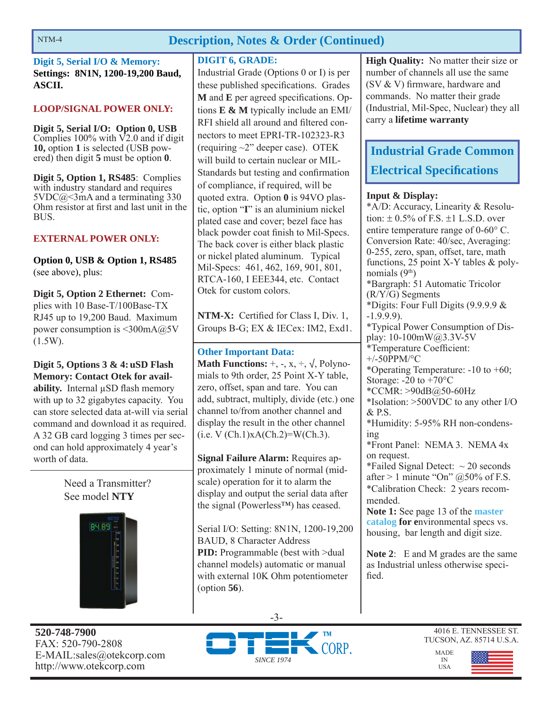## **Description, Notes & Order (Continued)**

**Digit 5, Serial I/O & Memory: Settings: 8N1N, 1200-19,200 Baud, ASCII.**

### **LOOP/SIGNAL POWER ONLY:**

**Digit 5, Serial I/O: Option 0, USB**  Complies  $100\%$  with  $\sqrt{2.0}$  and if digit **10,** option **1** is selected (USB powered) then digit **5** must be option **0**.

**Digit 5, Option 1, RS485**: Complies with industry standard and requires  $5VDC@<3mA$  and a terminating 330 Ohm resistor at first and last unit in the BUS.

### **EXTERNAL POWER ONLY:**

**Option 0, USB & Option 1, RS485**  (see above), plus:

**Digit 5, Option 2 Ethernet:** Complies with 10 Base-T/100Base-TX RJ45 up to 19,200 Baud. Maximum power consumption is <300mA@5V  $(1.5W)$ .

**Digit 5, Options 3 & 4: uSD Flash Memory: Contact Otek for availability.** Internal μSD flash memory with up to 32 gigabytes capacity. You can store selected data at-will via serial command and download it as required. A 32 GB card logging 3 times per second can hold approximately 4 year's worth of data.

> Need a Transmitter? See model **NTY**



**520-748-7900** FAX: 520-790-2808 E-MAIL:sales@otekcorp.com http://www.otekcorp.com

### **DIGIT 6, GRADE:**

Industrial Grade (Options 0 or I) is per these published specifications. Grades **M** and **E** per agreed specifications. Options **E & M** typically include an EMI/ RFI shield all around and filtered connectors to meet EPRI-TR-102323-R3 (requiring ~2" deeper case). OTEK will build to certain nuclear or MIL-Standards but testing and confirmation of compliance, if required, will be quoted extra. Option **0** is 94VO plastic, option "**I**" is an aluminium nickel plated case and cover; bezel face has black powder coat finish to Mil-Specs. The back cover is either black plastic or nickel plated aluminum. Typical Mil-Specs: 461, 462, 169, 901, 801, RTCA-160, I EEE344, etc. Contact Otek for custom colors.

**NTM-X:** Certified for Class I, Div. 1, Groups B-G; EX & IECex: IM2, Exd1.

### **Other Important Data:**

**Math Functions:**  $+$ ,  $-$ ,  $x$ ,  $\div$ ,  $\sqrt{x}$ , Polynomials to 9th order, 25 Point X-Y table, zero, offset, span and tare. You can add, subtract, multiply, divide (etc.) one channel to/from another channel and display the result in the other channel  $(i.e. V (Ch.1)xA(Ch.2)=W(Ch.3).$ 

**Signal Failure Alarm:** Requires approximately 1 minute of normal (midscale) operation for it to alarm the display and output the serial data after the signal (Powerless™) has ceased.

Serial I/O: Setting: 8N1N, 1200-19,200 BAUD, 8 Character Address **PID:** Programmable (best with  $>$ dual channel models) automatic or manual with external 10K Ohm potentiometer (option **56**).

**High Quality:** No matter their size or number of channels all use the same (SV  $&$  V) firmware, hardware and commands. No matter their grade (Industrial, Mil-Spec, Nuclear) they all carry a **lifetime warranty**

# **Industrial Grade Common Electrical Specifi cations**

### **Input & Display:**

\*A/D: Accuracy, Linearity & Resolution:  $\pm$  0.5% of F.S.  $\pm$ 1 L.S.D. over entire temperature range of  $0\n-60^{\circ}$  C. Conversion Rate: 40/sec, Averaging: 0-255, zero, span, offset, tare, math functions, 25 point X-Y tables & polynomials  $(9<sup>th</sup>)$ \*Bargraph: 51 Automatic Tricolor (R/Y/G) Segments \*Digits: Four Full Digits (9.9.9.9 & -1.9.9.9). \*Typical Power Consumption of Display: 10-100mW@3.3V-5V \*Temperature Coefficient: +/-50PPM/°C \*Operating Temperature: -10 to +60; Storage:  $-20$  to  $+70^{\circ}$ C \*CCMR: >90dB@50-60Hz \*Isolation: >500VDC to any other I/O & P.S. \*Humidity: 5-95% RH non-condensing \*Front Panel: NEMA 3. NEMA 4x on request. \*Failed Signal Detect:  $\sim$  20 seconds after  $> 1$  minute "On"  $@50\%$  of F.S. \*Calibration Check: 2 years recommended. **Note 1:** See page 13 of the **master catalog for e**nvironmental specs vs. housing, bar length and digit size.

**Note 2**: E and M grades are the same as Industrial unless otherwise specified.







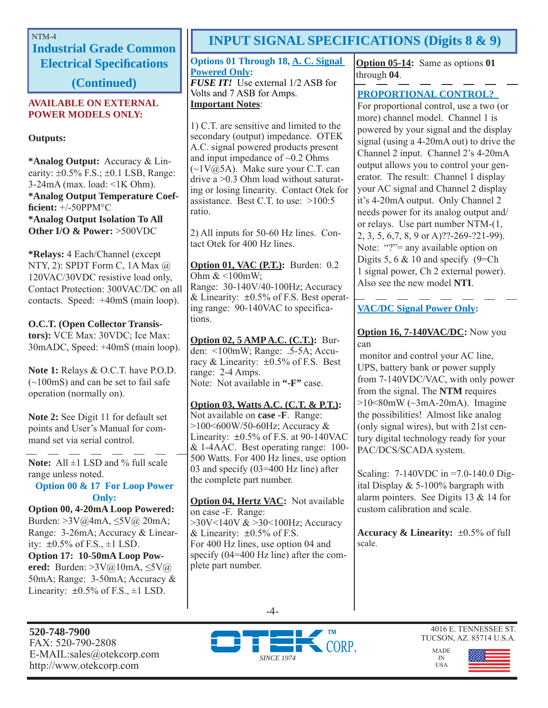**Industrial Grade Common Electrical Specifi cations** 

**(Continued)**

#### **AVAILABLE ON EXTERNAL POWER MODELS ONLY:**

**Outputs:**

**\*Analog Output:** Accuracy & Linearity:  $\pm 0.5\%$  F.S.;  $\pm 0.1$  LSB, Range: 3-24mA (max. load: <1K Ohm). **\*Analog Output Temperature Coeffi cient:** +/-50PPM°C **\*Analog Output Isolation To All Other I/O & Power:** >500VDC

**\*Relays:** 4 Each/Channel (except NTY, 2): SPDT Form C, 1A Max @ 120VAC/30VDC resistive load only, Contact Protection: 300VAC/DC on all contacts. Speed: +40mS (main loop).

**O.C.T. (Open Collector Transistors):** VCE Max: 30VDC; Ice Max: 30mADC, Speed: +40mS (main loop).

**Note 1:** Relays & O.C.T. have P.O.D. (~100mS) and can be set to fail safe operation (normally on).

**Note 2:** See Digit 11 for default set points and User's Manual for command set via serial control.

Note: All  $\pm$ 1 LSD and % full scale range unless noted.

### **Option 00 & 17 For Loop Power Only:**

**Option 00, 4-20mA Loop Powered:**  Burden: >3V@4mA, ≤5V@ 20mA; Range: 3-26mA; Accuracy & Linearity:  $\pm 0.5\%$  of F.S.,  $\pm 1$  LSD. **Option 17: 10-50mA Loop Powered:** Burden: >3V@10mA, ≤5V@ 50mA; Range: 3-50mA; Accuracy & Linearity:  $\pm 0.5\%$  of F.S.,  $\pm 1$  LSD.

**520-748-7900** FAX: 520-790-2808 E-MAIL:sales@otekcorp.com http://www.otekcorp.com

# NTM-4 **INPUT SIGNAL SPECIFICATIONS** (Digits 8 & 9)

**Options 01 Through 18, A. C. Signal Powered Only:** *FUSE IT!* Use external 1/2 ASB for Volts and 7 ASB for Amps.

### **Important Notes**:

1) C.T. are sensitive and limited to the secondary (output) impedance. OTEK A.C. signal powered products present and input impedance of  $\sim 0.2$  Ohms  $(\sim 1 \text{V} \hat{\omega} 5 \text{A})$ . Make sure your C.T. can drive a >0.3 Ohm load without saturating or losing linearity. Contact Otek for assistance. Best C.T. to use: >100:5 ratio.

2) All inputs for 50-60 Hz lines. Contact Otek for 400 Hz lines.

**Option 01, VAC (P.T.):** Burden: 0.2 Ohm  $<100$ mW; Range: 30-140V/40-100Hz; Accuracy & Linearity:  $\pm 0.5\%$  of F.S. Best operating range: 90-140VAC to specifications.

**Option 02, 5 AMP A.C. (C.T.):** Burden: <100mW; Range: .5-5A; Accuracy & Linearity:  $\pm 0.5\%$  of F.S. Best range: 2-4 Amps. Note: Not available in **"-F"** case.

**Option 03, Watts A.C. (C.T. & P.T.):** Not available on **case -F**. Range: >100<600W/50-60Hz; Accuracy & Linearity:  $\pm 0.5\%$  of F.S. at 90-140VAC & 1-4AAC. Best operating range: 100- 500 Watts. For 400 Hz lines, use option 03 and specify (03=400 Hz line) after the complete part number.

**Option 04, Hertz VAC:** Not available on case -F. Range: >30V<140V & >30<100Hz; Accuracy & Linearity:  $\pm 0.5\%$  of F.S. For 400 Hz lines, use option 04 and specify (04=400 Hz line) after the complete part number.

**Option 05-14:** Same as options **01** through **04**.

### **PROPORTIONAL CONTROL?**

For proportional control, use a two (or more) channel model. Channel 1 is powered by your signal and the display signal (using a 4-20mA out) to drive the Channel 2 input. Channel 2's 4-20mA output allows you to control your generator. The result: Channel 1 display your AC signal and Channel 2 display it's 4-20mA output. Only Channel 2 needs power for its analog output and/ or relays. Use part number NTM-(1, 2, 3, 5, 6,7, 8, 9 or A)??-269-?21-99). Note: "?"= any available option on Digits 5, 6  $& 10$  and specify (9=Ch) 1 signal power, Ch 2 external power). Also see the new model **NTI**.

### **VAC/DC Signal Power Only:**

**Option 16, 7-140VAC/DC:** Now you can

 monitor and control your AC line, UPS, battery bank or power supply from 7-140VDC/VAC, with only power from the signal. The **NTM** requires  $>10<80$ mW ( $\sim$ 3mA-20mA). Imagine the possibilities! Almost like analog (only signal wires), but with 21st century digital technology ready for your PAC/DCS/SCADA system.

Scaling: 7-140VDC in =7.0-140.0 Digital Display & 5-100% bargraph with alarm pointers. See Digits 13 & 14 for custom calibration and scale.

**Accuracy & Linearity:**  $\pm 0.5\%$  of full scale.





4016 E. TENNESSEE ST. TUCSON, AZ. 85714 U.S.A.

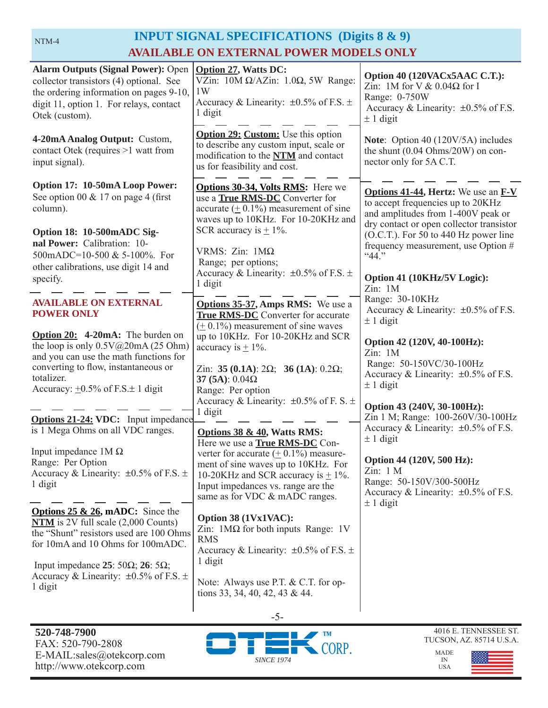# **INPUT SIGNAL SPECIFICATIONS (Digits 8 & 9) AVAILABLE ON EXTERNAL POWER MODELS ONLY**

| <b>Alarm Outputs (Signal Power): Open</b><br>collector transistors (4) optional. See<br>the ordering information on pages 9-10,<br>digit 11, option 1. For relays, contact<br>Otek (custom).                                                                                                                                                                                                  | <b>Option 27, Watts DC:</b><br>VZin: $10M \Omega/AZ$ in: $1.0\Omega$ , 5W Range:<br>1W<br>Accuracy & Linearity: $\pm 0.5\%$ of F.S. $\pm$<br>1 digit                                                                                                                                                                                                                                                                                                                               | Option 40 (120VACx5AAC C.T.):<br>Zin: 1M for V & $0.04\Omega$ for I<br>Range: 0-750W<br>Accuracy & Linearity: $\pm 0.5\%$ of F.S.<br>$± 1$ digit                                                                                                                                                                                                                                                                                                                                 |
|-----------------------------------------------------------------------------------------------------------------------------------------------------------------------------------------------------------------------------------------------------------------------------------------------------------------------------------------------------------------------------------------------|------------------------------------------------------------------------------------------------------------------------------------------------------------------------------------------------------------------------------------------------------------------------------------------------------------------------------------------------------------------------------------------------------------------------------------------------------------------------------------|----------------------------------------------------------------------------------------------------------------------------------------------------------------------------------------------------------------------------------------------------------------------------------------------------------------------------------------------------------------------------------------------------------------------------------------------------------------------------------|
| 4-20mA Analog Output: Custom,<br>contact Otek (requires >1 watt from<br>input signal).                                                                                                                                                                                                                                                                                                        | <b>Option 29: Custom:</b> Use this option<br>Note: Option 40 (120V/5A) includes<br>to describe any custom input, scale or<br>the shunt $(0.04 \text{ Ohms}/20W)$ on con-<br>modification to the NTM and contact<br>nector only for 5A C.T.<br>us for feasibility and cost.                                                                                                                                                                                                         |                                                                                                                                                                                                                                                                                                                                                                                                                                                                                  |
| Option 17: 10-50mA Loop Power:<br>See option 00 $& 17$ on page 4 (first<br>column).<br>Option 18: 10-500mADC Sig-<br>nal Power: Calibration: 10-<br>500mADC=10-500 & 5-100%. For<br>other calibrations, use digit 14 and<br>specify.                                                                                                                                                          | <b>Options 30-34, Volts RMS:</b> Here we<br>use a <b>True RMS-DC</b> Converter for<br>accurate $(± 0.1\%)$ measurement of sine<br>waves up to 10KHz. For 10-20KHz and<br>SCR accuracy is $\pm$ 1%.<br>VRMS: Zin: 1ΜΩ<br>Range; per options;<br>Accuracy & Linearity: $\pm 0.5\%$ of F.S. $\pm$<br>1 digit                                                                                                                                                                          | <b>Options 41-44, Hertz:</b> We use an <b>F-V</b><br>to accept frequencies up to 20KHz<br>and amplitudes from 1-400V peak or<br>dry contact or open collector transistor<br>(O.C.T.). For 50 to 440 Hz power line<br>frequency measurement, use Option #<br>$44$ ."<br>Option 41 (10KHz/5V Logic):<br>Zin: 1M                                                                                                                                                                    |
| <b>AVAILABLE ON EXTERNAL</b><br><b>POWER ONLY</b><br>Option 20: 4-20mA: The burden on<br>the loop is only $0.5V@20mA(25 Ohm)$<br>and you can use the math functions for<br>converting to flow, instantaneous or<br>totalizer.<br>Accuracy: $\pm 0.5\%$ of F.S. $\pm$ 1 digit<br><b>Options 21-24: VDC:</b> Input impedance<br>is 1 Mega Ohms on all VDC ranges.<br>Input impedance $1M\Omega$ | <b>Options 35-37, Amps RMS:</b> We use a<br><b>True RMS-DC</b> Converter for accurate<br>$(± 0.1%)$ measurement of sine waves<br>up to 10KHz. For 10-20KHz and SCR<br>accuracy is $\pm$ 1%.<br>Zin: 35 (0.1A): $2\Omega$ ; 36 (1A): 0.2 $\Omega$ ;<br>37 (5A): $0.04\Omega$<br>Range: Per option<br>Accuracy & Linearity: $\pm 0.5\%$ of F. S. $\pm$<br>1 digit<br>Options 38 & 40, Watts RMS:<br>Here we use a <b>True RMS-DC</b> Con-<br>verter for accurate $(± 0.1%)$ measure- | Range: 30-10KHz<br>Accuracy & Linearity: ±0.5% of F.S.<br>$\pm$ 1 digit<br>Option 42 (120V, 40-100Hz):<br>Zin: 1M<br>Range: 50-150VC/30-100Hz<br>Accuracy & Linearity: $\pm 0.5\%$ of F.S.<br>$\pm$ 1 digit<br>Option 43 (240V, 30-100Hz):<br>Zin 1 M; Range: 100-260V/30-100Hz<br>Accuracy & Linearity: $\pm 0.5\%$ of F.S.<br>$\pm$ 1 digit<br>Option 44 (120V, 500 Hz):<br>Zin: 1 M<br>Range: 50-150V/300-500Hz<br>Accuracy & Linearity: $\pm 0.5\%$ of F.S.<br>$\pm$ 1 digit |
| Range: Per Option<br>Accuracy & Linearity: $\pm 0.5\%$ of F.S. $\pm$<br>1 digit<br><b>Options 25 &amp; 26, mADC:</b> Since the<br>$NTM$ is 2V full scale $(2,000$ Counts)<br>the "Shunt" resistors used are 100 Ohms<br>for 10mA and 10 Ohms for 100mADC.<br>Input impedance 25: 50 $\Omega$ ; 26: 5 $\Omega$ ;<br>Accuracy & Linearity: $\pm 0.5\%$ of F.S. $\pm$<br>1 digit                 | ment of sine waves up to 10KHz. For<br>10-20KHz and SCR accuracy is $\pm$ 1%.<br>Input impedances vs. range are the<br>same as for VDC & mADC ranges.<br>Option 38 (1Vx1VAC):<br>Zin: $1\text{M}\Omega$ for both inputs Range: 1V<br><b>RMS</b><br>Accuracy & Linearity: $\pm 0.5\%$ of F.S. $\pm$<br>1 digit<br>Note: Always use P.T. & C.T. for op-<br>tions 33, 34, 40, 42, 43 & 44.                                                                                            |                                                                                                                                                                                                                                                                                                                                                                                                                                                                                  |
|                                                                                                                                                                                                                                                                                                                                                                                               |                                                                                                                                                                                                                                                                                                                                                                                                                                                                                    |                                                                                                                                                                                                                                                                                                                                                                                                                                                                                  |

-5-





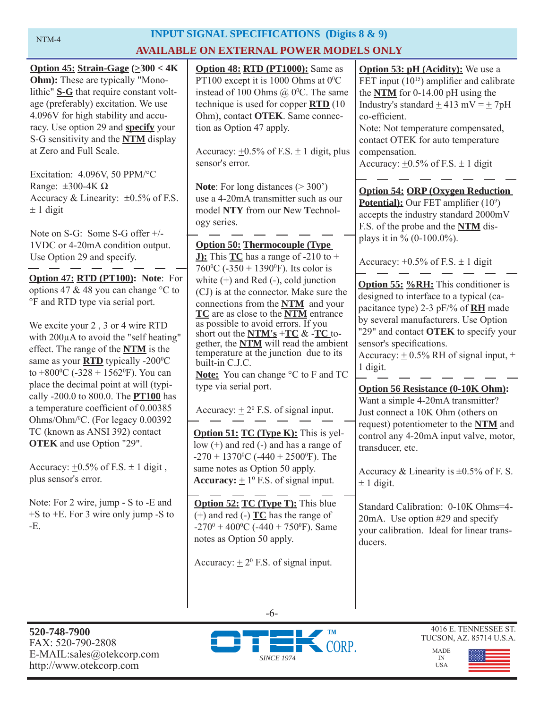# NTM-4

# **INPUT SIGNAL SPECIFICATIONS (Digits 8 & 9) AVAILABLE ON EXTERNAL POWER MODELS ONLY**

| Option 45: Strain-Gage $(\geq 300 < 4K)$<br>Ohm): These are typically "Mono-<br>lithic" S-G that require constant volt-<br>age (preferably) excitation. We use<br>4.096V for high stability and accu-<br>racy. Use option 29 and <b>specify</b> your<br>S-G sensitivity and the <b>NTM</b> display<br>at Zero and Full Scale.<br>Excitation: 4.096V, 50 PPM/°C       | <b>Option 48: RTD (PT1000):</b> Same as<br>PT100 except it is 1000 Ohms at $0^{\circ}$ C<br>instead of 100 Ohms $(a)$ 0°C. The same<br>technique is used for copper $\overline{RTD}$ (10<br>Ohm), contact OTEK. Same connec-<br>tion as Option 47 apply.<br>Accuracy: $\pm 0.5\%$ of F.S. $\pm 1$ digit, plus<br>sensor's error.                                                                           | <b>Option 53: pH (Acidity):</b> We use a<br>FET input $(10^{15})$ amplifier and calibrate<br>the $NTM$ for 0-14.00 pH using the<br>Industry's standard $\pm$ 413 mV = $\pm$ 7pH<br>co-efficient.<br>Note: Not temperature compensated,<br>contact OTEK for auto temperature<br>compensation.<br>Accuracy: $\pm 0.5\%$ of F.S. $\pm$ 1 digit |
|----------------------------------------------------------------------------------------------------------------------------------------------------------------------------------------------------------------------------------------------------------------------------------------------------------------------------------------------------------------------|------------------------------------------------------------------------------------------------------------------------------------------------------------------------------------------------------------------------------------------------------------------------------------------------------------------------------------------------------------------------------------------------------------|---------------------------------------------------------------------------------------------------------------------------------------------------------------------------------------------------------------------------------------------------------------------------------------------------------------------------------------------|
| Range: $\pm 300 - 4K \Omega$<br>Accuracy & Linearity: $\pm 0.5\%$ of F.S.<br>$\pm$ 1 digit<br>Note on S-G: Some S-G offer $+/-$<br>1VDC or 4-20mA condition output.<br>Use Option 29 and specify.                                                                                                                                                                    | <b>Note:</b> For long distances $(>300^{\circ})$<br>use a 4-20mA transmitter such as our<br>model NTY from our New Technol-<br>ogy series.<br><b>Option 50: Thermocouple (Type)</b><br><b>J):</b> This $TC$ has a range of -210 to +<br>760 °C (-350 + 1390 °F). Its color is                                                                                                                              | <b>Option 54: ORP (Oxygen Reduction)</b><br><b>Potential):</b> Our FET amplifier $(10^9)$<br>accepts the industry standard 2000mV<br>F.S. of the probe and the NTM dis-<br>plays it in % $(0-100.0\%)$ .<br>Accuracy: $\pm 0.5\%$ of F.S. $\pm$ 1 digit                                                                                     |
| Option 47: RTD (PT100): Note: For<br>options 47 & 48 you can change °C to<br><sup>o</sup> F and RTD type via serial port.<br>We excite your 2, 3 or 4 wire RTD<br>with 200µA to avoid the "self heating"<br>effect. The range of the <b>NTM</b> is the<br>same as your <b>RTD</b> typically -200°C<br>to $+800$ <sup>o</sup> C (-328 + 1562 <sup>o</sup> F). You can | white $(+)$ and Red $(-)$ , cold junction<br>(CJ) is at the connector. Make sure the<br>connections from the NTM and your<br>TC are as close to the NTM entrance<br>as possible to avoid errors. If you<br>short out the $NTM's + TC < -TC$ to-<br>gether, the <b>NTM</b> will read the ambient<br>temperature at the junction due to its<br>built-in C.J.C.<br><b>Note:</b> You can change °C to F and TC | <b>Option 55: %RH:</b> This conditioner is<br>designed to interface to a typical (ca-<br>pacitance type) 2-3 pF/% of <b>RH</b> made<br>by several manufacturers. Use Option<br>"29" and contact OTEK to specify your<br>sensor's specifications.<br>Accuracy: $\pm$ 0.5% RH of signal input, $\pm$<br>1 digit.                              |
| place the decimal point at will (typi-<br>cally -200.0 to 800.0. The <b>PT100</b> has<br>a temperature coefficient of 0.00385<br>Ohms/Ohm/ <sup>0</sup> C. (For legacy 0.00392<br>TC (known as ANSI 392) contact<br><b>OTEK</b> and use Option "29".<br>Accuracy: $\pm 0.5\%$ of F.S. $\pm 1$ digit,<br>plus sensor's error.                                         | type via serial port.<br>Accuracy: $\pm 2^0$ F.S. of signal input.<br><b>Option 51: TC (Type K):</b> This is yel-<br>low $(+)$ and red $(-)$ and has a range of<br>-270 + 1370 <sup>o</sup> C (-440 + 2500 <sup>o</sup> F). The<br>same notes as Option 50 apply.<br><b>Accuracy:</b> $\pm 1^0$ F.S. of signal input.                                                                                      | <b>Option 56 Resistance (0-10K Ohm):</b><br>Want a simple 4-20mA transmitter?<br>Just connect a 10K Ohm (others on<br>request) potentiometer to the NTM and<br>control any 4-20mA input valve, motor,<br>transducer, etc.<br>Accuracy & Linearity is $\pm 0.5\%$ of F. S.<br>$\pm$ 1 digit.                                                 |
| Note: For 2 wire, jump - S to -E and<br>$+$ S to $+$ E. For 3 wire only jump -S to<br>-E.                                                                                                                                                                                                                                                                            | <b>Option 52: TC (Type T):</b> This blue<br>$(+)$ and red $(-)$ $\underline{TC}$ has the range of<br>$-270^{\circ} + 400^{\circ}$ C ( $-440 + 750^{\circ}$ F). Same<br>notes as Option 50 apply.<br>Accuracy: $\pm 2^0$ F.S. of signal input.                                                                                                                                                              | Standard Calibration: 0-10K Ohms=4-<br>20mA. Use option #29 and specify<br>your calibration. Ideal for linear trans-<br>ducers.                                                                                                                                                                                                             |





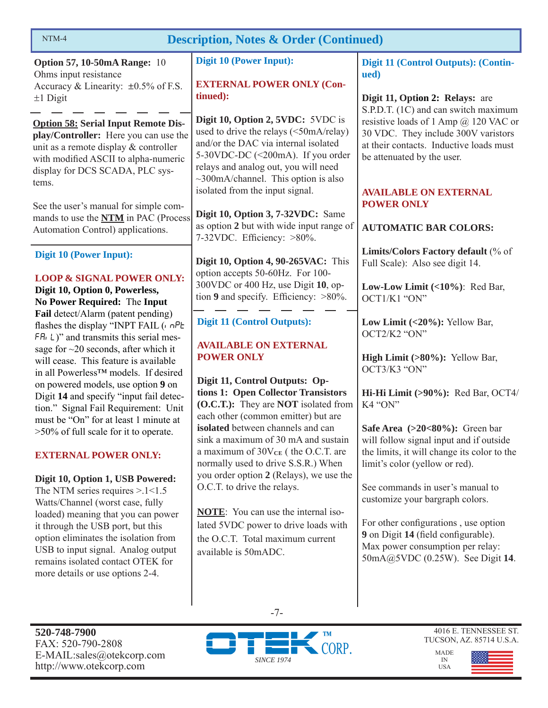| <b>Description, Notes &amp; Order (Continued)</b><br>NTM-4                                                                                                                                                                                                                                                |                                                                                                                                                                                                                                               |                                                                                                                                                                                                                            |  |  |  |
|-----------------------------------------------------------------------------------------------------------------------------------------------------------------------------------------------------------------------------------------------------------------------------------------------------------|-----------------------------------------------------------------------------------------------------------------------------------------------------------------------------------------------------------------------------------------------|----------------------------------------------------------------------------------------------------------------------------------------------------------------------------------------------------------------------------|--|--|--|
| <b>Option 57, 10-50mA Range: 10</b><br>Ohms input resistance<br>Accuracy & Linearity: ±0.5% of F.S.<br>$±1$ Digit                                                                                                                                                                                         | <b>Digit 10 (Power Input):</b><br><b>EXTERNAL POWER ONLY (Con-</b><br>tinued):                                                                                                                                                                | Digit 11 (Control Outputs): (Contin-<br>ued)<br>Digit 11, Option 2: Relays: are<br>S.P.D.T. (1C) and can switch maximum                                                                                                    |  |  |  |
| <b>Option 58: Serial Input Remote Dis-</b><br>play/Controller: Here you can use the<br>unit as a remote display & controller<br>with modified ASCII to alpha-numeric<br>display for DCS SCADA, PLC sys-<br>tems.                                                                                          | Digit 10, Option 2, 5VDC: 5VDC is<br>used to drive the relays (<50mA/relay)<br>and/or the DAC via internal isolated<br>5-30VDC-DC (<200mA). If you order<br>relays and analog out, you will need<br>$\sim$ 300mA/channel. This option is also | resistive loads of 1 Amp $@$ 120 VAC or<br>30 VDC. They include 300V varistors<br>at their contacts. Inductive loads must<br>be attenuated by the user.                                                                    |  |  |  |
| See the user's manual for simple com-<br>mands to use the <b>NTM</b> in PAC (Process<br>Automation Control) applications.                                                                                                                                                                                 | isolated from the input signal.<br>Digit 10, Option 3, 7-32VDC: Same<br>as option 2 but with wide input range of<br>7-32VDC. Efficiency: >80%.                                                                                                | <b>AVAILABLE ON EXTERNAL</b><br><b>POWER ONLY</b><br><b>AUTOMATIC BAR COLORS:</b>                                                                                                                                          |  |  |  |
| <b>Digit 10 (Power Input):</b><br><b>LOOP &amp; SIGNAL POWER ONLY:</b><br>Digit 10, Option 0, Powerless,<br>No Power Required: The Input                                                                                                                                                                  | Digit 10, Option 4, 90-265VAC: This<br>option accepts 50-60Hz. For 100-<br>300VDC or 400 Hz, use Digit 10, op-<br>tion 9 and specify. Efficiency: $>80\%$ .                                                                                   | Limits/Colors Factory default (% of<br>Full Scale): Also see digit 14.<br>Low-Low Limit $(\langle 10\% \rangle)$ : Red Bar,<br>OCT1/K1 "ON"                                                                                |  |  |  |
| Fail detect/Alarm (patent pending)<br>flashes the display "INPT FAIL ( $n$ nPL<br>$FAL$ )" and transmits this serial mes-<br>sage for $\sim$ 20 seconds, after which it<br>will cease. This feature is available                                                                                          | <b>Digit 11 (Control Outputs):</b><br><b>AVAILABLE ON EXTERNAL</b><br><b>POWER ONLY</b>                                                                                                                                                       | Low Limit $(<20\%)$ : Yellow Bar,<br>OCT2/K2 "ON"<br><b>High Limit <math>(&gt;80\%)</math>:</b> Yellow Bar,<br>OCT3/K3 "ON"                                                                                                |  |  |  |
| in all Powerless™ models. If desired<br>on powered models, use option 9 on<br>Digit 14 and specify "input fail detec-<br>tion." Signal Fail Requirement: Unit<br>must be "On" for at least 1 minute at                                                                                                    | Digit 11, Control Outputs: Op-<br>tions 1: Open Collector Transistors<br>(O.C.T.): They are <b>NOT</b> isolated from<br>each other (common emitter) but are                                                                                   | Hi-Hi Limit (>90%): Red Bar, OCT4/<br>K4 "ON"                                                                                                                                                                              |  |  |  |
| $>50\%$ of full scale for it to operate.<br><b>EXTERNAL POWER ONLY:</b>                                                                                                                                                                                                                                   | isolated between channels and can<br>sink a maximum of 30 mA and sustain<br>a maximum of $30V_{CE}$ (the O.C.T. are<br>normally used to drive S.S.R.) When<br>you order option 2 (Relays), we use the                                         | Safe Area $(>20<80\%)$ : Green bar<br>will follow signal input and if outside<br>the limits, it will change its color to the<br>limit's color (yellow or red).                                                             |  |  |  |
| Digit 10, Option 1, USB Powered:<br>The NTM series requires $> 1 < 1.5$<br>Watts/Channel (worst case, fully<br>loaded) meaning that you can power<br>it through the USB port, but this<br>option eliminates the isolation from<br>USB to input signal. Analog output<br>remains isolated contact OTEK for | O.C.T. to drive the relays.<br><b>NOTE:</b> You can use the internal iso-<br>lated 5VDC power to drive loads with<br>the O.C.T. Total maximum current<br>available is 50mADC.                                                                 | See commands in user's manual to<br>customize your bargraph colors.<br>For other configurations, use option<br>9 on Digit 14 (field configurable).<br>Max power consumption per relay:<br>50mA@5VDC (0.25W). See Digit 14. |  |  |  |
| more details or use options 2-4.                                                                                                                                                                                                                                                                          |                                                                                                                                                                                                                                               |                                                                                                                                                                                                                            |  |  |  |

**520-748-7900** FAX: 520-790-2808 E-MAIL:sales@otekcorp.com http://www.otekcorp.com



-7-

4016 E. TENNESSEE ST. TUCSON, AZ. 85714 U.S.A.

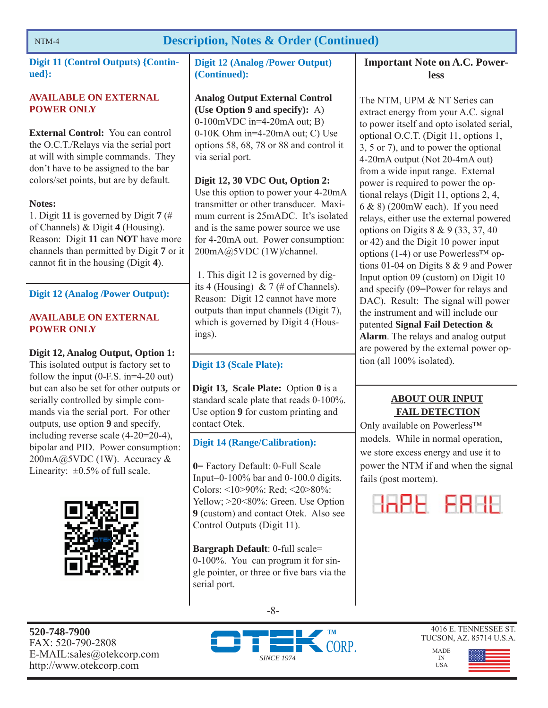### **Description, Notes & Order (Continued)**

**Digit 11 (Control Outputs) {Continued}:** 

### **AVAILABLE ON EXTERNAL POWER ONLY**

**External Control:** You can control the O.C.T./Relays via the serial port at will with simple commands. They don't have to be assigned to the bar colors/set points, but are by default.

### **Notes:**

1. Digit **11** is governed by Digit **7** (# of Channels) & Digit **4** (Housing). Reason: Digit **11** can **NOT** have more channels than permitted by Digit **7** or it cannot fit in the housing (Digit 4).

### **Digit 12 (Analog /Power Output):**

### **AVAILABLE ON EXTERNAL POWER ONLY**

**Digit 12, Analog Output, Option 1:**  This isolated output is factory set to follow the input (0-F.S. in=4-20 out) but can also be set for other outputs or serially controlled by simple commands via the serial port. For other outputs, use option **9** and specify, including reverse scale (4-20=20-4), bipolar and PID. Power consumption:  $200mA@5VDC(1W)$ . Accuracy & Linearity:  $\pm 0.5\%$  of full scale.



### **Digit 12 (Analog /Power Output) (Continued):**

**Analog Output External Control (Use Option 9 and specify):** A) 0-100mVDC in=4-20mA out; B) 0-10K Ohm in=4-20mA out; C) Use options 58, 68, 78 or 88 and control it via serial port.

**Digit 12, 30 VDC Out, Option 2:**  Use this option to power your 4-20mA transmitter or other transducer. Maximum current is 25mADC. It's isolated and is the same power source we use for 4-20mA out. Power consumption: 200mA@5VDC (1W)/channel.

 1. This digit 12 is governed by digits 4 (Housing) & 7 (# of Channels). Reason: Digit 12 cannot have more outputs than input channels (Digit 7), which is governed by Digit 4 (Housings).

### **Digit 13 (Scale Plate):**

**Digit 13, Scale Plate:** Option **0** is a standard scale plate that reads 0-100%. Use option **9** for custom printing and contact Otek.

### **Digit 14 (Range/Calibration):**

**0**= Factory Default: 0-Full Scale Input=0-100% bar and 0-100.0 digits. Colors: <10>90%: Red; <20>80%: Yellow; >20<80%: Green. Use Option **9** (custom) and contact Otek. Also see Control Outputs (Digit 11).

**Bargraph Default**: 0-full scale= 0-100%. You can program it for single pointer, or three or five bars via the serial port.

### **Important Note on A.C. Powerless**

The NTM, UPM & NT Series can extract energy from your A.C. signal to power itself and opto isolated serial, optional O.C.T. (Digit 11, options 1, 3, 5 or 7), and to power the optional 4-20mA output (Not 20-4mA out) from a wide input range. External power is required to power the optional relays (Digit 11, options 2, 4, 6 & 8) (200mW each). If you need relays, either use the external powered options on Digits 8 & 9 (33, 37, 40 or 42) and the Digit 10 power input options (1-4) or use Powerless<sup>TM</sup> options 01-04 on Digits 8 & 9 and Power Input option 09 (custom) on Digit 10 and specify (09=Power for relays and DAC). Result: The signal will power the instrument and will include our patented **Signal Fail Detection & Alarm**. The relays and analog output are powered by the external power option (all 100% isolated).

### **ABOUT OUR INPUT FAIL DETECTION**

Only available on Powerless™ models. While in normal operation, we store excess energy and use it to power the NTM if and when the signal fails (post mortem).



**520-748-7900** FAX: 520-790-2808 E-MAIL:sales@otekcorp.com http://www.otekcorp.com







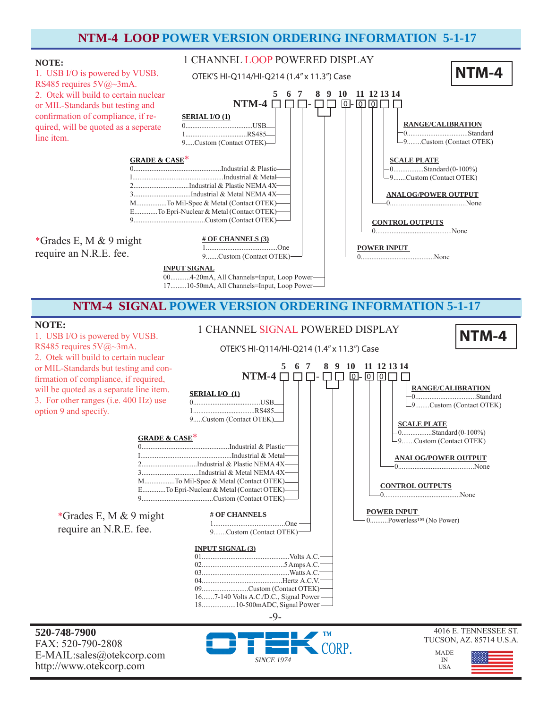### **NTM-4 LOOP POWER VERSION ORDERING INFORMATION 5-1-17**

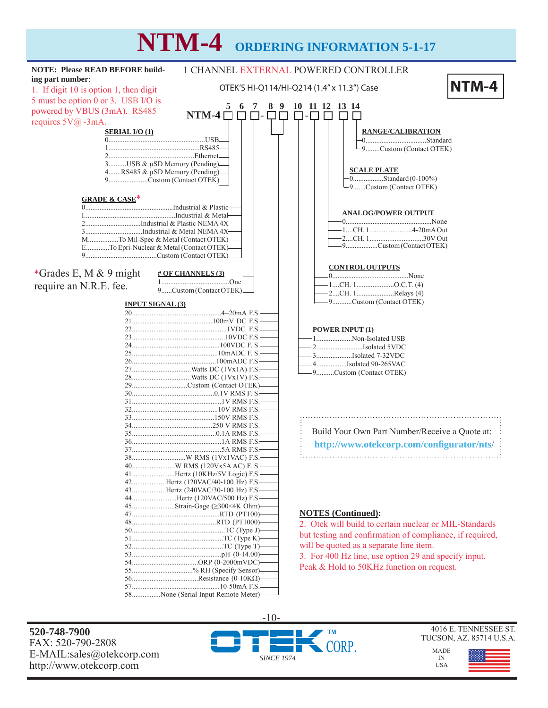# **NTM-4 ORDERING INFORMATION 5-1-17**

| <b>NOTE: Please READ BEFORE build-</b>                                           | 1 CHANNEL EXTERNAL POWERED CONTROLLER |                                                          |       |  |  |
|----------------------------------------------------------------------------------|---------------------------------------|----------------------------------------------------------|-------|--|--|
| ing part number:                                                                 |                                       |                                                          |       |  |  |
| 1. If digit 10 is option 1, then digit                                           |                                       | OTEK'S HI-Q114/HI-Q214 (1.4" x 11.3") Case               | NTM-4 |  |  |
| 5 must be option 0 or 3. USB I/O is                                              |                                       |                                                          |       |  |  |
| powered by VBUS (3mA). RS485                                                     | NTM-4 $\square$<br>$\Box$ $\Box$      | 10 11 12 13 14<br>89<br>П-П<br>$\Box$                    |       |  |  |
| requires $5V@\sim3mA$ .                                                          |                                       |                                                          |       |  |  |
| <b>SERIAL I/O (1)</b>                                                            |                                       | <b>RANGE/CALIBRATION</b>                                 |       |  |  |
|                                                                                  |                                       |                                                          |       |  |  |
|                                                                                  |                                       | -9Custom (Contact OTEK)                                  |       |  |  |
| 3USB & µSD Memory (Pending).                                                     |                                       |                                                          |       |  |  |
| 4RS485 & µSD Memory (Pending)                                                    |                                       | <b>SCALE PLATE</b>                                       |       |  |  |
| 9Custom (Contact OTEK)                                                           |                                       | $-0$ Standard (0-100%)<br>-9Custom (Contact OTEK)        |       |  |  |
|                                                                                  |                                       |                                                          |       |  |  |
| <b>GRADE &amp; CASE*</b>                                                         |                                       |                                                          |       |  |  |
|                                                                                  |                                       | <b>ANALOG/POWER OUTPUT</b>                               |       |  |  |
|                                                                                  |                                       |                                                          |       |  |  |
|                                                                                  |                                       |                                                          |       |  |  |
| MTo Mil-Spec & Metal (Contact OTEK)-<br>ETo Epri-Nuclear & Metal (Contact OTEK)- |                                       | -9Custom (Contact OTEK)                                  |       |  |  |
|                                                                                  |                                       |                                                          |       |  |  |
|                                                                                  |                                       | <b>CONTROL OUTPUTS</b>                                   |       |  |  |
| *Grades E, M $& 9$ might                                                         | $\#$ OF CHANNELS (3)                  |                                                          |       |  |  |
| require an N.R.E. fee.                                                           | 9Custom (Contact OTEK).               | -1CH. 1O.C.T. (4)                                        |       |  |  |
|                                                                                  |                                       | $-2$ CH. 1Relays (4)                                     |       |  |  |
| <b>INPUT SIGNAL (3)</b>                                                          |                                       | -9Custom (Contact OTEK)                                  |       |  |  |
|                                                                                  |                                       |                                                          |       |  |  |
|                                                                                  |                                       | <b>POWER INPUT (1)</b>                                   |       |  |  |
|                                                                                  |                                       | 1Non-Isolated USB                                        |       |  |  |
|                                                                                  |                                       |                                                          |       |  |  |
|                                                                                  |                                       | 3Isolated 7-32VDC                                        |       |  |  |
|                                                                                  |                                       | -4Isolated 90-265VAC<br>-9Custom (Contact OTEK)          |       |  |  |
|                                                                                  |                                       |                                                          |       |  |  |
|                                                                                  | 29Custom (Contact OTEK)-              |                                                          |       |  |  |
|                                                                                  |                                       |                                                          |       |  |  |
|                                                                                  |                                       |                                                          |       |  |  |
|                                                                                  |                                       |                                                          |       |  |  |
|                                                                                  |                                       | Build Your Own Part Number/Receive a Quote at:           |       |  |  |
|                                                                                  |                                       | http://www.otekcorp.com/configurator/nts/                |       |  |  |
|                                                                                  |                                       |                                                          |       |  |  |
|                                                                                  |                                       |                                                          |       |  |  |
|                                                                                  | 41Hertz (10KHz/5V Logic) F.S.         |                                                          |       |  |  |
|                                                                                  | 42Hertz (120VAC/40-100 Hz) F.S.       |                                                          |       |  |  |
|                                                                                  | 43Hertz (240VAC/30-100 Hz) F.S.       |                                                          |       |  |  |
|                                                                                  | 44Hertz (120VAC/500 Hz) F.S.-         |                                                          |       |  |  |
|                                                                                  |                                       | <b>NOTES</b> (Continued):                                |       |  |  |
|                                                                                  |                                       | 2. Otek will build to certain nuclear or MIL-Standards   |       |  |  |
|                                                                                  |                                       | but testing and confirmation of compliance, if required, |       |  |  |
|                                                                                  |                                       | will be quoted as a separate line item.                  |       |  |  |
|                                                                                  |                                       | 3. For 400 Hz line, use option 29 and specify input.     |       |  |  |
|                                                                                  |                                       | Peak & Hold to 50KHz function on request.                |       |  |  |
|                                                                                  | 55% RH (Specify Sensor)-              |                                                          |       |  |  |
|                                                                                  |                                       |                                                          |       |  |  |
|                                                                                  | 58None (Serial Input Remote Meter)-   |                                                          |       |  |  |

**520-748-7900** FAX: 520-790-2808 E-MAIL:sales@otekcorp.com http://www.otekcorp.com



4016 E. TENNESSEE ST. TUCSON, AZ. 85714 U.S.A.